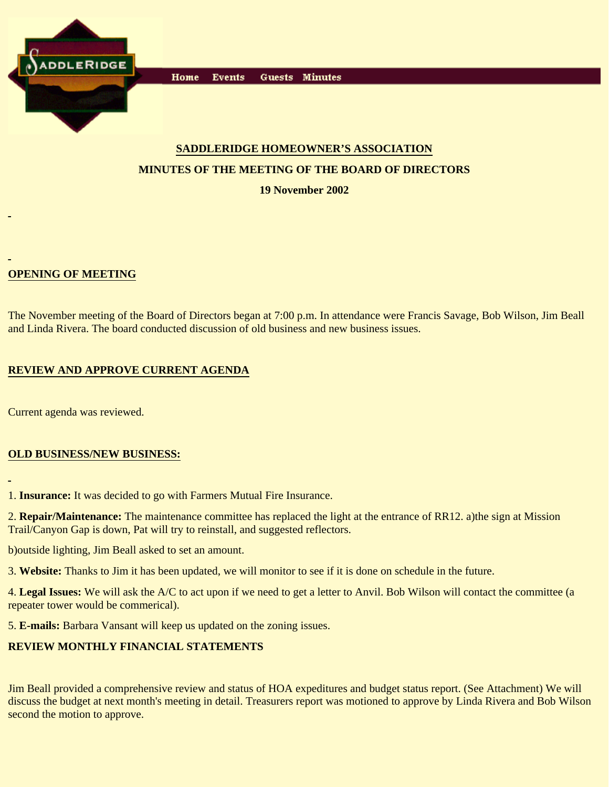

Home **Events** Guests Minutes

# **SADDLERIDGE HOMEOWNER'S ASSOCIATION MINUTES OF THE MEETING OF THE BOARD OF DIRECTORS**

**19 November 2002**

# **OPENING OF MEETING**

The November meeting of the Board of Directors began at 7:00 p.m. In attendance were Francis Savage, Bob Wilson, Jim Beall and Linda Rivera. The board conducted discussion of old business and new business issues.

## **REVIEW AND APPROVE CURRENT AGENDA**

Current agenda was reviewed.

## **OLD BUSINESS/NEW BUSINESS:**

1. **Insurance:** It was decided to go with Farmers Mutual Fire Insurance.

2. **Repair/Maintenance:** The maintenance committee has replaced the light at the entrance of RR12. a)the sign at Mission Trail/Canyon Gap is down, Pat will try to reinstall, and suggested reflectors.

b)outside lighting, Jim Beall asked to set an amount.

3. **Website:** Thanks to Jim it has been updated, we will monitor to see if it is done on schedule in the future.

4. **Legal Issues:** We will ask the A/C to act upon if we need to get a letter to Anvil. Bob Wilson will contact the committee (a repeater tower would be commerical).

5. **E-mails:** Barbara Vansant will keep us updated on the zoning issues.

# **REVIEW MONTHLY FINANCIAL STATEMENTS**

Jim Beall provided a comprehensive review and status of HOA expeditures and budget status report. (See Attachment) We will discuss the budget at next month's meeting in detail. Treasurers report was motioned to approve by Linda Rivera and Bob Wilson second the motion to approve.